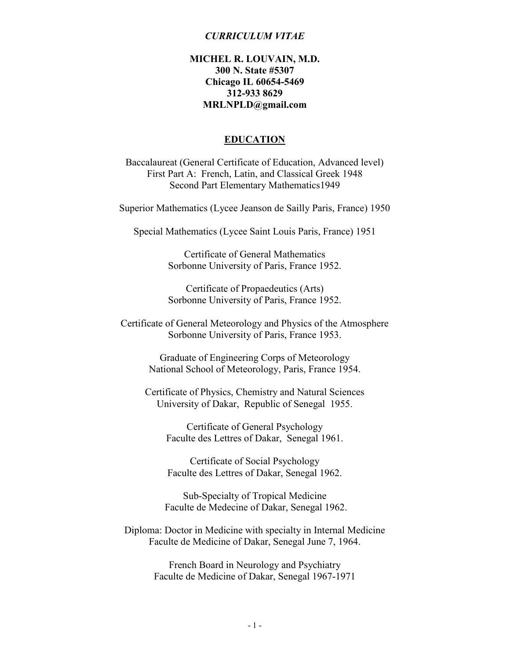## *CURRICULUM VITAE*

## **MICHEL R. LOUVAIN, M.D. 300 N. State #5307 Chicago IL 60654-5469 312-933 8629 MRLNPLD@gmail.com**

## **EDUCATION**

Baccalaureat (General Certificate of Education, Advanced level) First Part A: French, Latin, and Classical Greek 1948 Second Part Elementary Mathematics1949

Superior Mathematics (Lycee Jeanson de Sailly Paris, France) 1950

Special Mathematics (Lycee Saint Louis Paris, France) 1951

Certificate of General Mathematics Sorbonne University of Paris, France 1952.

Certificate of Propaedeutics (Arts) Sorbonne University of Paris, France 1952.

Certificate of General Meteorology and Physics of the Atmosphere Sorbonne University of Paris, France 1953.

> Graduate of Engineering Corps of Meteorology National School of Meteorology, Paris, France 1954.

Certificate of Physics, Chemistry and Natural Sciences University of Dakar, Republic of Senegal 1955.

Certificate of General Psychology Faculte des Lettres of Dakar, Senegal 1961.

Certificate of Social Psychology Faculte des Lettres of Dakar, Senegal 1962.

Sub-Specialty of Tropical Medicine Faculte de Medecine of Dakar, Senegal 1962.

Diploma: Doctor in Medicine with specialty in Internal Medicine Faculte de Medicine of Dakar, Senegal June 7, 1964.

> French Board in Neurology and Psychiatry Faculte de Medicine of Dakar, Senegal 1967-1971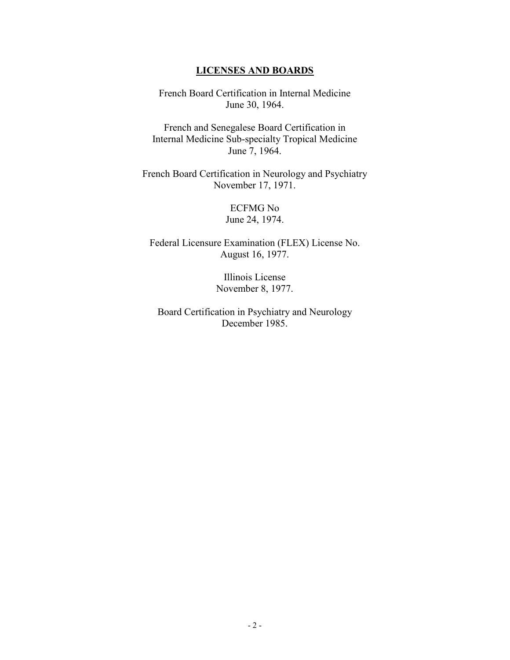## **LICENSES AND BOARDS**

French Board Certification in Internal Medicine June 30, 1964.

French and Senegalese Board Certification in Internal Medicine Sub-specialty Tropical Medicine June 7, 1964.

French Board Certification in Neurology and Psychiatry November 17, 1971.

> ECFMG No June 24, 1974.

Federal Licensure Examination (FLEX) License No. August 16, 1977.

> Illinois License November 8, 1977.

Board Certification in Psychiatry and Neurology December 1985.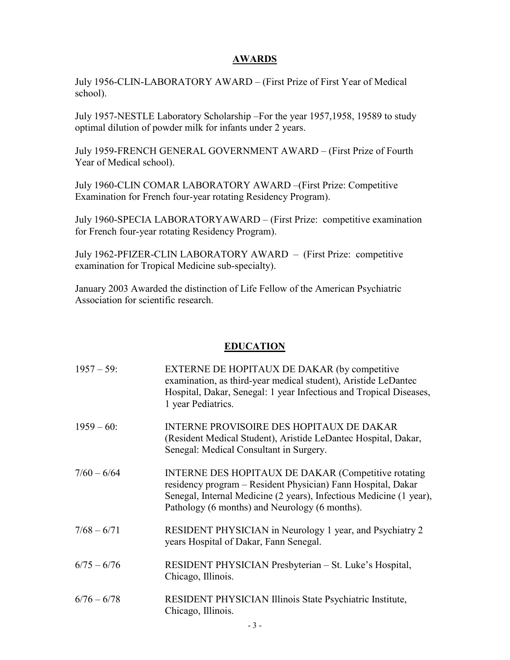## **AWARDS**

July 1956-CLIN-LABORATORY AWARD – (First Prize of First Year of Medical school).

July 1957-NESTLE Laboratory Scholarship –For the year 1957,1958, 19589 to study optimal dilution of powder milk for infants under 2 years.

July 1959-FRENCH GENERAL GOVERNMENT AWARD – (First Prize of Fourth Year of Medical school).

July 1960-CLIN COMAR LABORATORY AWARD –(First Prize: Competitive Examination for French four-year rotating Residency Program).

July 1960-SPECIA LABORATORYAWARD – (First Prize: competitive examination for French four-year rotating Residency Program).

July 1962-PFIZER-CLIN LABORATORY AWARD – (First Prize: competitive examination for Tropical Medicine sub-specialty).

January 2003 Awarded the distinction of Life Fellow of the American Psychiatric Association for scientific research.

## **EDUCATION**

| $1957 - 59$ : | EXTERNE DE HOPITAUX DE DAKAR (by competitive<br>examination, as third-year medical student), Aristide LeDantec<br>Hospital, Dakar, Senegal: 1 year Infectious and Tropical Diseases,<br>1 year Pediatrics.                                   |
|---------------|----------------------------------------------------------------------------------------------------------------------------------------------------------------------------------------------------------------------------------------------|
| $1959 - 60$ : | <b>INTERNE PROVISOIRE DES HOPITAUX DE DAKAR</b><br>(Resident Medical Student), Aristide LeDantec Hospital, Dakar,<br>Senegal: Medical Consultant in Surgery.                                                                                 |
| $7/60 - 6/64$ | INTERNE DES HOPITAUX DE DAKAR (Competitive rotating<br>residency program - Resident Physician) Fann Hospital, Dakar<br>Senegal, Internal Medicine (2 years), Infectious Medicine (1 year),<br>Pathology (6 months) and Neurology (6 months). |
| $7/68 - 6/71$ | RESIDENT PHYSICIAN in Neurology 1 year, and Psychiatry 2<br>years Hospital of Dakar, Fann Senegal.                                                                                                                                           |
| $6/75 - 6/76$ | RESIDENT PHYSICIAN Presbyterian – St. Luke's Hospital,<br>Chicago, Illinois.                                                                                                                                                                 |
| $6/76 - 6/78$ | RESIDENT PHYSICIAN Illinois State Psychiatric Institute,<br>Chicago, Illinois.                                                                                                                                                               |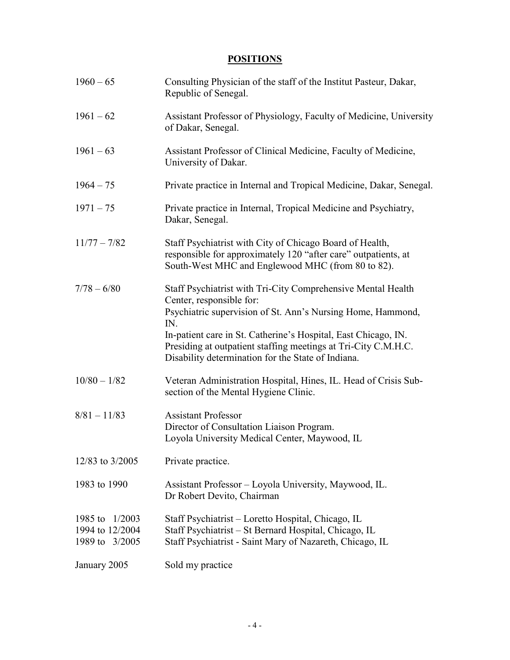# **POSITIONS**

| $1960 - 65$                                         | Consulting Physician of the staff of the Institut Pasteur, Dakar,<br>Republic of Senegal.                                                                                                                                                                                                                                                                |
|-----------------------------------------------------|----------------------------------------------------------------------------------------------------------------------------------------------------------------------------------------------------------------------------------------------------------------------------------------------------------------------------------------------------------|
| $1961 - 62$                                         | Assistant Professor of Physiology, Faculty of Medicine, University<br>of Dakar, Senegal.                                                                                                                                                                                                                                                                 |
| $1961 - 63$                                         | Assistant Professor of Clinical Medicine, Faculty of Medicine,<br>University of Dakar.                                                                                                                                                                                                                                                                   |
| $1964 - 75$                                         | Private practice in Internal and Tropical Medicine, Dakar, Senegal.                                                                                                                                                                                                                                                                                      |
| $1971 - 75$                                         | Private practice in Internal, Tropical Medicine and Psychiatry,<br>Dakar, Senegal.                                                                                                                                                                                                                                                                       |
| $11/77 - 7/82$                                      | Staff Psychiatrist with City of Chicago Board of Health,<br>responsible for approximately 120 "after care" outpatients, at<br>South-West MHC and Englewood MHC (from 80 to 82).                                                                                                                                                                          |
| $7/78 - 6/80$                                       | Staff Psychiatrist with Tri-City Comprehensive Mental Health<br>Center, responsible for:<br>Psychiatric supervision of St. Ann's Nursing Home, Hammond,<br>IN.<br>In-patient care in St. Catherine's Hospital, East Chicago, IN.<br>Presiding at outpatient staffing meetings at Tri-City C.M.H.C.<br>Disability determination for the State of Indiana. |
| $10/80 - 1/82$                                      | Veteran Administration Hospital, Hines, IL. Head of Crisis Sub-<br>section of the Mental Hygiene Clinic.                                                                                                                                                                                                                                                 |
| $8/81 - 11/83$                                      | <b>Assistant Professor</b><br>Director of Consultation Liaison Program.<br>Loyola University Medical Center, Maywood, IL                                                                                                                                                                                                                                 |
| 12/83 to 3/2005                                     | Private practice.                                                                                                                                                                                                                                                                                                                                        |
| 1983 to 1990                                        | Assistant Professor – Loyola University, Maywood, IL.<br>Dr Robert Devito, Chairman                                                                                                                                                                                                                                                                      |
| 1985 to 1/2003<br>1994 to 12/2004<br>1989 to 3/2005 | Staff Psychiatrist – Loretto Hospital, Chicago, IL<br>Staff Psychiatrist – St Bernard Hospital, Chicago, IL<br>Staff Psychiatrist - Saint Mary of Nazareth, Chicago, IL                                                                                                                                                                                  |
| January 2005                                        | Sold my practice                                                                                                                                                                                                                                                                                                                                         |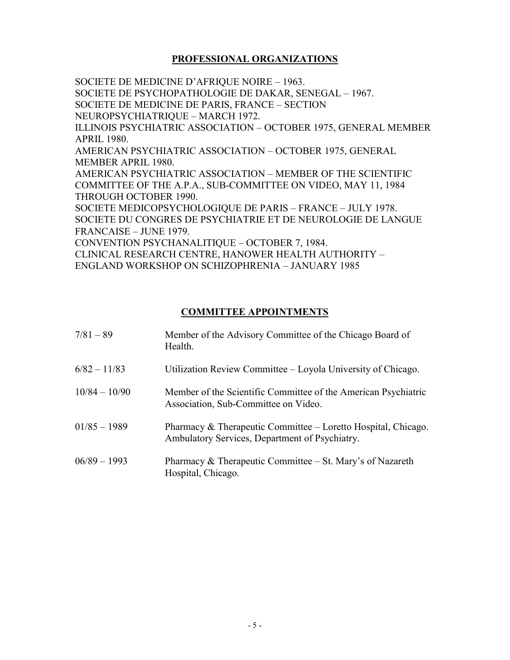# **PROFESSIONAL ORGANIZATIONS**

SOCIETE DE MEDICINE D'AFRIQUE NOIRE – 1963. SOCIETE DE PSYCHOPATHOLOGIE DE DAKAR, SENEGAL – 1967. SOCIETE DE MEDICINE DE PARIS, FRANCE – SECTION NEUROPSYCHIATRIQUE – MARCH 1972. ILLINOIS PSYCHIATRIC ASSOCIATION – OCTOBER 1975, GENERAL MEMBER APRIL 1980. AMERICAN PSYCHIATRIC ASSOCIATION – OCTOBER 1975, GENERAL MEMBER APRIL 1980. AMERICAN PSYCHIATRIC ASSOCIATION – MEMBER OF THE SCIENTIFIC COMMITTEE OF THE A.P.A., SUB-COMMITTEE ON VIDEO, MAY 11, 1984 THROUGH OCTOBER 1990. SOCIETE MEDICOPSYCHOLOGIQUE DE PARIS – FRANCE – JULY 1978. SOCIETE DU CONGRES DE PSYCHIATRIE ET DE NEUROLOGIE DE LANGUE FRANCAISE – JUNE 1979. CONVENTION PSYCHANALITIQUE – OCTOBER 7, 1984. CLINICAL RESEARCH CENTRE, HANOWER HEALTH AUTHORITY – ENGLAND WORKSHOP ON SCHIZOPHRENIA – JANUARY 1985

# **COMMITTEE APPOINTMENTS**

| $7/81 - 89$     | Member of the Advisory Committee of the Chicago Board of<br>Health.                                               |
|-----------------|-------------------------------------------------------------------------------------------------------------------|
| $6/82 - 11/83$  | Utilization Review Committee – Loyola University of Chicago.                                                      |
| $10/84 - 10/90$ | Member of the Scientific Committee of the American Psychiatric<br>Association, Sub-Committee on Video.            |
| $01/85 - 1989$  | Pharmacy & Therapeutic Committee $-$ Loretto Hospital, Chicago.<br>Ambulatory Services, Department of Psychiatry. |
| $06/89 - 1993$  | Pharmacy & Therapeutic Committee $-$ St. Mary's of Nazareth<br>Hospital, Chicago.                                 |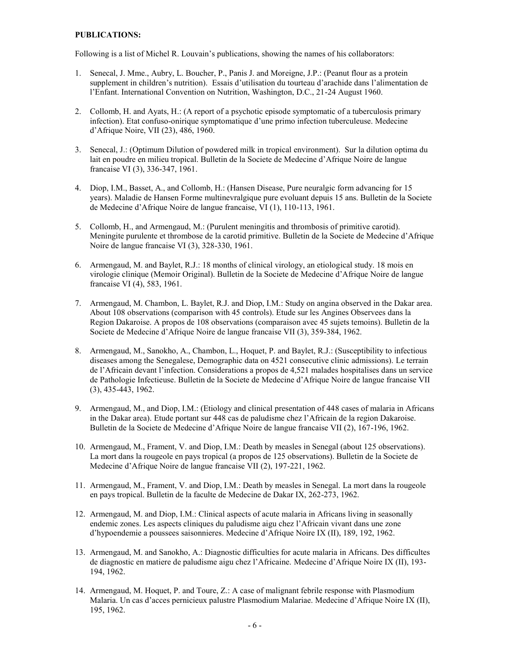#### **PUBLICATIONS:**

Following is a list of Michel R. Louvain's publications, showing the names of his collaborators:

- 1. Senecal, J. Mme., Aubry, L. Boucher, P., Panis J. and Moreigne, J.P.: (Peanut flour as a protein supplement in children's nutrition). Essais d'utilisation du tourteau d'arachide dans l'alimentation de l'Enfant. International Convention on Nutrition, Washington, D.C., 21-24 August 1960.
- 2. Collomb, H. and Ayats, H.: (A report of a psychotic episode symptomatic of a tuberculosis primary infection). Etat confuso-onirique symptomatique d'une primo infection tuberculeuse. Medecine d'Afrique Noire, VII (23), 486, 1960.
- 3. Senecal, J.: (Optimum Dilution of powdered milk in tropical environment). Sur la dilution optima du lait en poudre en milieu tropical. Bulletin de la Societe de Medecine d'Afrique Noire de langue francaise VI (3), 336-347, 1961.
- 4. Diop, I.M., Basset, A., and Collomb, H.: (Hansen Disease, Pure neuralgic form advancing for 15 years). Maladie de Hansen Forme multinevralgique pure evoluant depuis 15 ans. Bulletin de la Societe de Medecine d'Afrique Noire de langue francaise, VI (1), 110-113, 1961.
- 5. Collomb, H., and Armengaud, M.: (Purulent meningitis and thrombosis of primitive carotid). Meningite purulente et thrombose de la carotid primitive. Bulletin de la Societe de Medecine d'Afrique Noire de langue francaise VI (3), 328-330, 1961.
- 6. Armengaud, M. and Baylet, R.J.: 18 months of clinical virology, an etiological study. 18 mois en virologie clinique (Memoir Original). Bulletin de la Societe de Medecine d'Afrique Noire de langue francaise VI (4), 583, 1961.
- 7. Armengaud, M. Chambon, L. Baylet, R.J. and Diop, I.M.: Study on angina observed in the Dakar area. About 108 observations (comparison with 45 controls). Etude sur les Angines Observees dans la Region Dakaroise. A propos de 108 observations (comparaison avec 45 sujets temoins). Bulletin de la Societe de Medecine d'Afrique Noire de langue francaise VII (3), 359-384, 1962.
- 8. Armengaud, M., Sanokho, A., Chambon, L., Hoquet, P. and Baylet, R.J.: (Susceptibility to infectious diseases among the Senegalese, Demographic data on 4521 consecutive clinic admissions). Le terrain de l'Africain devant l'infection. Considerations a propos de 4,521 malades hospitalises dans un service de Pathologie Infectieuse. Bulletin de la Societe de Medecine d'Afrique Noire de langue francaise VII (3), 435-443, 1962.
- 9. Armengaud, M., and Diop, I.M.: (Etiology and clinical presentation of 448 cases of malaria in Africans in the Dakar area). Etude portant sur 448 cas de paludisme chez l'Africain de la region Dakaroise. Bulletin de la Societe de Medecine d'Afrique Noire de langue francaise VII (2), 167-196, 1962.
- 10. Armengaud, M., Frament, V. and Diop, I.M.: Death by measles in Senegal (about 125 observations). La mort dans la rougeole en pays tropical (a propos de 125 observations). Bulletin de la Societe de Medecine d'Afrique Noire de langue francaise VII (2), 197-221, 1962.
- 11. Armengaud, M., Frament, V. and Diop, I.M.: Death by measles in Senegal. La mort dans la rougeole en pays tropical. Bulletin de la faculte de Medecine de Dakar IX, 262-273, 1962.
- 12. Armengaud, M. and Diop, I.M.: Clinical aspects of acute malaria in Africans living in seasonally endemic zones. Les aspects cliniques du paludisme aigu chez l'Africain vivant dans une zone d'hypoendemie a poussees saisonnieres. Medecine d'Afrique Noire IX (II), 189, 192, 1962.
- 13. Armengaud, M. and Sanokho, A.: Diagnostic difficulties for acute malaria in Africans. Des difficultes de diagnostic en matiere de paludisme aigu chez l'Africaine. Medecine d'Afrique Noire IX (II), 193- 194, 1962.
- 14. Armengaud, M. Hoquet, P. and Toure, Z.: A case of malignant febrile response with Plasmodium Malaria. Un cas d'acces pernicieux palustre Plasmodium Malariae. Medecine d'Afrique Noire IX (II), 195, 1962.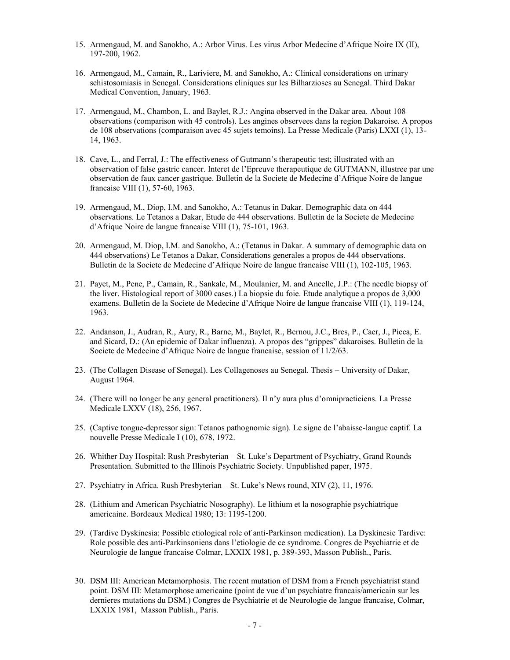- 15. Armengaud, M. and Sanokho, A.: Arbor Virus. Les virus Arbor Medecine d'Afrique Noire IX (II), 197-200, 1962.
- 16. Armengaud, M., Camain, R., Lariviere, M. and Sanokho, A.: Clinical considerations on urinary schistosomiasis in Senegal. Considerations cliniques sur les Bilharzioses au Senegal. Third Dakar Medical Convention, January, 1963.
- 17. Armengaud, M., Chambon, L. and Baylet, R.J.: Angina observed in the Dakar area. About 108 observations (comparison with 45 controls). Les angines observees dans la region Dakaroise. A propos de 108 observations (comparaison avec 45 sujets temoins). La Presse Medicale (Paris) LXXI (1), 13- 14, 1963.
- 18. Cave, L., and Ferral, J.: The effectiveness of Gutmann's therapeutic test; illustrated with an observation of false gastric cancer. Interet de l'Epreuve therapeutique de GUTMANN, illustree par une observation de faux cancer gastrique. Bulletin de la Societe de Medecine d'Afrique Noire de langue francaise VIII (1), 57-60, 1963.
- 19. Armengaud, M., Diop, I.M. and Sanokho, A.: Tetanus in Dakar. Demographic data on 444 observations. Le Tetanos a Dakar, Etude de 444 observations. Bulletin de la Societe de Medecine d'Afrique Noire de langue francaise VIII (1), 75-101, 1963.
- 20. Armengaud, M. Diop, I.M. and Sanokho, A.: (Tetanus in Dakar. A summary of demographic data on 444 observations) Le Tetanos a Dakar, Considerations generales a propos de 444 observations. Bulletin de la Societe de Medecine d'Afrique Noire de langue francaise VIII (1), 102-105, 1963.
- 21. Payet, M., Pene, P., Camain, R., Sankale, M., Moulanier, M. and Ancelle, J.P.: (The needle biopsy of the liver. Histological report of 3000 cases.) La biopsie du foie. Etude analytique a propos de 3,000 examens. Bulletin de la Societe de Medecine d'Afrique Noire de langue francaise VIII (1), 119-124, 1963.
- 22. Andanson, J., Audran, R., Aury, R., Barne, M., Baylet, R., Bernou, J.C., Bres, P., Caer, J., Picca, E. and Sicard, D.: (An epidemic of Dakar influenza). A propos des "grippes" dakaroises. Bulletin de la Societe de Medecine d'Afrique Noire de langue francaise, session of 11/2/63.
- 23. (The Collagen Disease of Senegal). Les Collagenoses au Senegal. Thesis University of Dakar, August 1964.
- 24. (There will no longer be any general practitioners). Il n'y aura plus d'omnipracticiens. La Presse Medicale LXXV (18), 256, 1967.
- 25. (Captive tongue-depressor sign: Tetanos pathognomic sign). Le signe de l'abaisse-langue captif. La nouvelle Presse Medicale I (10), 678, 1972.
- 26. Whither Day Hospital: Rush Presbyterian St. Luke's Department of Psychiatry, Grand Rounds Presentation. Submitted to the Illinois Psychiatric Society. Unpublished paper, 1975.
- 27. Psychiatry in Africa. Rush Presbyterian St. Luke's News round, XIV (2), 11, 1976.
- 28. (Lithium and American Psychiatric Nosography). Le lithium et la nosographie psychiatrique americaine. Bordeaux Medical 1980; 13: 1195-1200.
- 29. (Tardive Dyskinesia: Possible etiological role of anti-Parkinson medication). La Dyskinesie Tardive: Role possible des anti-Parkinsoniens dans l'etiologie de ce syndrome. Congres de Psychiatrie et de Neurologie de langue francaise Colmar, LXXIX 1981, p. 389-393, Masson Publish., Paris.
- 30. DSM III: American Metamorphosis. The recent mutation of DSM from a French psychiatrist stand point. DSM III: Metamorphose americaine (point de vue d'un psychiatre francais/americain sur les dernieres mutations du DSM.) Congres de Psychiatrie et de Neurologie de langue francaise, Colmar, LXXIX 1981, Masson Publish., Paris.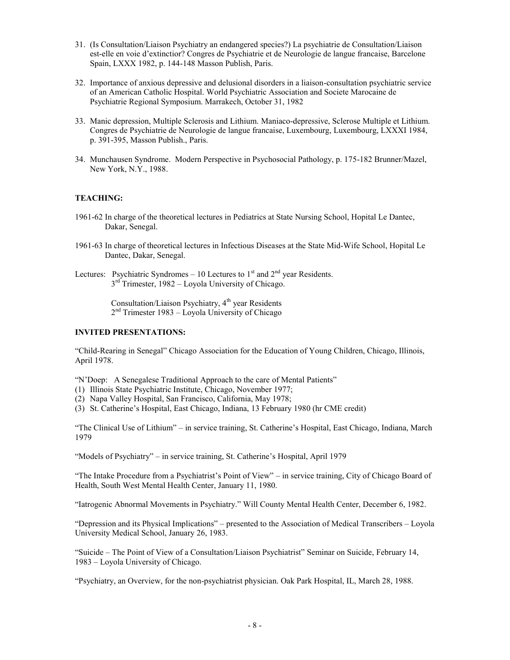- 31. (Is Consultation/Liaison Psychiatry an endangered species?) La psychiatrie de Consultation/Liaison est-elle en voie d'extinctior? Congres de Psychiatrie et de Neurologie de langue francaise, Barcelone Spain, LXXX 1982, p. 144-148 Masson Publish, Paris.
- 32. Importance of anxious depressive and delusional disorders in a liaison-consultation psychiatric service of an American Catholic Hospital. World Psychiatric Association and Societe Marocaine de Psychiatrie Regional Symposium. Marrakech, October 31, 1982
- 33. Manic depression, Multiple Sclerosis and Lithium. Maniaco-depressive, Sclerose Multiple et Lithium. Congres de Psychiatrie de Neurologie de langue francaise, Luxembourg, Luxembourg, LXXXI 1984, p. 391-395, Masson Publish., Paris.
- 34. Munchausen Syndrome. Modern Perspective in Psychosocial Pathology, p. 175-182 Brunner/Mazel, New York, N.Y., 1988.

#### **TEACHING:**

- 1961-62 In charge of the theoretical lectures in Pediatrics at State Nursing School, Hopital Le Dantec, Dakar, Senegal.
- 1961-63 In charge of theoretical lectures in Infectious Diseases at the State Mid-Wife School, Hopital Le Dantec, Dakar, Senegal.
- Lectures: Psychiatric Syndromes 10 Lectures to  $1<sup>st</sup>$  and  $2<sup>nd</sup>$  year Residents. 3<sup>rd</sup> Trimester, 1982 – Loyola University of Chicago.

Consultation/Liaison Psychiatry, 4<sup>th</sup> year Residents 2 nd Trimester 1983 – Loyola University of Chicago

#### **INVITED PRESENTATIONS:**

"Child-Rearing in Senegal" Chicago Association for the Education of Young Children, Chicago, Illinois, April 1978.

"N'Doep: A Senegalese Traditional Approach to the care of Mental Patients"

- (1) Illinois State Psychiatric Institute, Chicago, November 1977;
- (2) Napa Valley Hospital, San Francisco, California, May 1978;
- (3) St. Catherine's Hospital, East Chicago, Indiana, 13 February 1980 (hr CME credit)

"The Clinical Use of Lithium" – in service training, St. Catherine's Hospital, East Chicago, Indiana, March 1979

"Models of Psychiatry" – in service training, St. Catherine's Hospital, April 1979

"The Intake Procedure from a Psychiatrist's Point of View" – in service training, City of Chicago Board of Health, South West Mental Health Center, January 11, 1980.

"Iatrogenic Abnormal Movements in Psychiatry." Will County Mental Health Center, December 6, 1982.

"Depression and its Physical Implications" – presented to the Association of Medical Transcribers – Loyola University Medical School, January 26, 1983.

"Suicide – The Point of View of a Consultation/Liaison Psychiatrist" Seminar on Suicide, February 14, 1983 – Loyola University of Chicago.

"Psychiatry, an Overview, for the non-psychiatrist physician. Oak Park Hospital, IL, March 28, 1988.